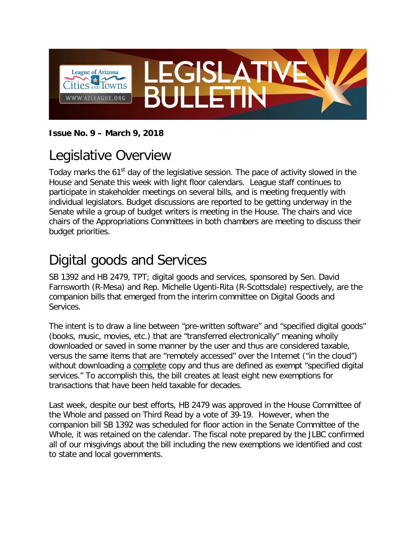

#### **Issue No. 9 – March 9, 2018**

## Legislative Overview

Today marks the 61<sup>st</sup> day of the legislative session. The pace of activity slowed in the House and Senate this week with light floor calendars. League staff continues to participate in stakeholder meetings on several bills, and is meeting frequently with individual legislators. Budget discussions are reported to be getting underway in the Senate while a group of budget writers is meeting in the House. The chairs and vice chairs of the Appropriations Committees in both chambers are meeting to discuss their budget priorities.

#### Digital goods and Services

SB 1392 and HB 2479, TPT; digital goods and services, sponsored by Sen. David Farnsworth (R-Mesa) and Rep. Michelle Ugenti-Rita (R-Scottsdale) respectively, are the companion bills that emerged from the interim committee on Digital Goods and Services.

The intent is to draw a line between "pre-written software" and "specified digital goods" (books, music, movies, etc.) that are "transferred electronically" meaning wholly downloaded or saved in some manner by the user and thus are considered taxable, versus the same items that are "remotely accessed" over the Internet ("in the cloud") without downloading a complete copy and thus are defined as exempt "specified digital services." To accomplish this, the bill creates at least eight new exemptions for transactions that have been held taxable for decades.

Last week, despite our best efforts, HB 2479 was approved in the House Committee of the Whole and passed on Third Read by a vote of 39-19. However, when the companion bill SB 1392 was scheduled for floor action in the Senate Committee of the Whole, it was retained on the calendar. The fiscal note prepared by the JLBC confirmed all of our misgivings about the bill including the new exemptions we identified and cost to state and local governments.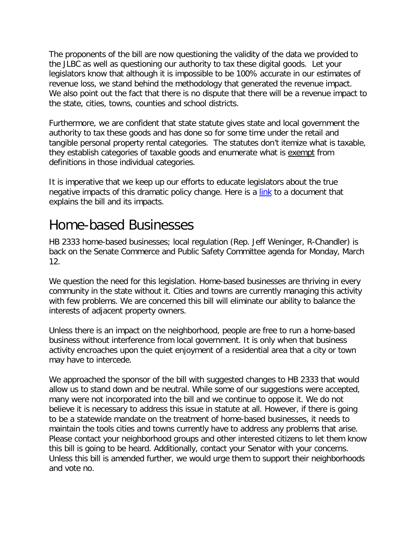The proponents of the bill are now questioning the validity of the data we provided to the JLBC as well as questioning our authority to tax these digital goods. Let your legislators know that although it is impossible to be 100% accurate in our estimates of revenue loss, we stand behind the methodology that generated the revenue impact. We also point out the fact that there is no dispute that there will be a revenue impact to the state, cities, towns, counties and school districts.

Furthermore, we are confident that state statute gives state and local government the authority to tax these goods and has done so for some time under the retail and tangible personal property rental categories. The statutes don't itemize what is taxable, they establish categories of taxable goods and enumerate what is exempt from definitions in those individual categories.

It is imperative that we keep up our efforts to educate legislators about the true negative impacts of this dramatic policy change. Here is a [link](http://azleague.org/DocumentCenter/View/9565) to a document that explains the bill and its impacts.

## Home-based Businesses

HB 2333 home-based businesses; local regulation (Rep. Jeff Weninger, R-Chandler) is back on the Senate Commerce and Public Safety Committee agenda for Monday, March 12.

We question the need for this legislation. Home-based businesses are thriving in every community in the state without it. Cities and towns are currently managing this activity with few problems. We are concerned this bill will eliminate our ability to balance the interests of adjacent property owners.

Unless there is an impact on the neighborhood, people are free to run a home-based business without interference from local government. It is only when that business activity encroaches upon the quiet enjoyment of a residential area that a city or town may have to intercede.

We approached the sponsor of the bill with suggested changes to HB 2333 that would allow us to stand down and be neutral. While some of our suggestions were accepted, many were not incorporated into the bill and we continue to oppose it. We do not believe it is necessary to address this issue in statute at all. However, if there is going to be a statewide mandate on the treatment of home-based businesses, it needs to maintain the tools cities and towns currently have to address any problems that arise. Please contact your neighborhood groups and other interested citizens to let them know this bill is going to be heard. Additionally, contact your Senator with your concerns. Unless this bill is amended further, we would urge them to support their neighborhoods and vote no.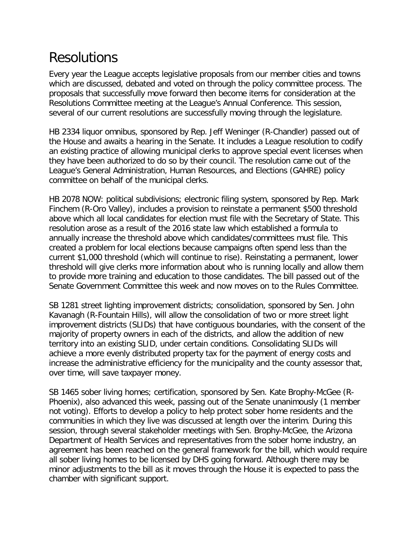#### Resolutions

Every year the League accepts legislative proposals from our member cities and towns which are discussed, debated and voted on through the policy committee process. The proposals that successfully move forward then become items for consideration at the Resolutions Committee meeting at the League's Annual Conference. This session, several of our current resolutions are successfully moving through the legislature.

HB 2334 liquor omnibus, sponsored by Rep. Jeff Weninger (R-Chandler) passed out of the House and awaits a hearing in the Senate. It includes a League resolution to codify an existing practice of allowing municipal clerks to approve special event licenses when they have been authorized to do so by their council. The resolution came out of the League's General Administration, Human Resources, and Elections (GAHRE) policy committee on behalf of the municipal clerks.

HB 2078 NOW: political subdivisions; electronic filing system, sponsored by Rep. Mark Finchem (R-Oro Valley), includes a provision to reinstate a permanent \$500 threshold above which all local candidates for election must file with the Secretary of State. This resolution arose as a result of the 2016 state law which established a formula to annually increase the threshold above which candidates/committees must file. This created a problem for local elections because campaigns often spend less than the current \$1,000 threshold (which will continue to rise). Reinstating a permanent, lower threshold will give clerks more information about who is running locally and allow them to provide more training and education to those candidates. The bill passed out of the Senate Government Committee this week and now moves on to the Rules Committee.

SB 1281 street lighting improvement districts; consolidation, sponsored by Sen. John Kavanagh (R-Fountain Hills), will allow the consolidation of two or more street light improvement districts (SLIDs) that have contiguous boundaries, with the consent of the majority of property owners in each of the districts, and allow the addition of new territory into an existing SLID, under certain conditions. Consolidating SLIDs will achieve a more evenly distributed property tax for the payment of energy costs and increase the administrative efficiency for the municipality and the county assessor that, over time, will save taxpayer money.

SB 1465 sober living homes; certification, sponsored by Sen. Kate Brophy-McGee (R-Phoenix), also advanced this week, passing out of the Senate unanimously (1 member not voting). Efforts to develop a policy to help protect sober home residents and the communities in which they live was discussed at length over the interim. During this session, through several stakeholder meetings with Sen. Brophy-McGee, the Arizona Department of Health Services and representatives from the sober home industry, an agreement has been reached on the general framework for the bill, which would require all sober living homes to be licensed by DHS going forward. Although there may be minor adjustments to the bill as it moves through the House it is expected to pass the chamber with significant support.